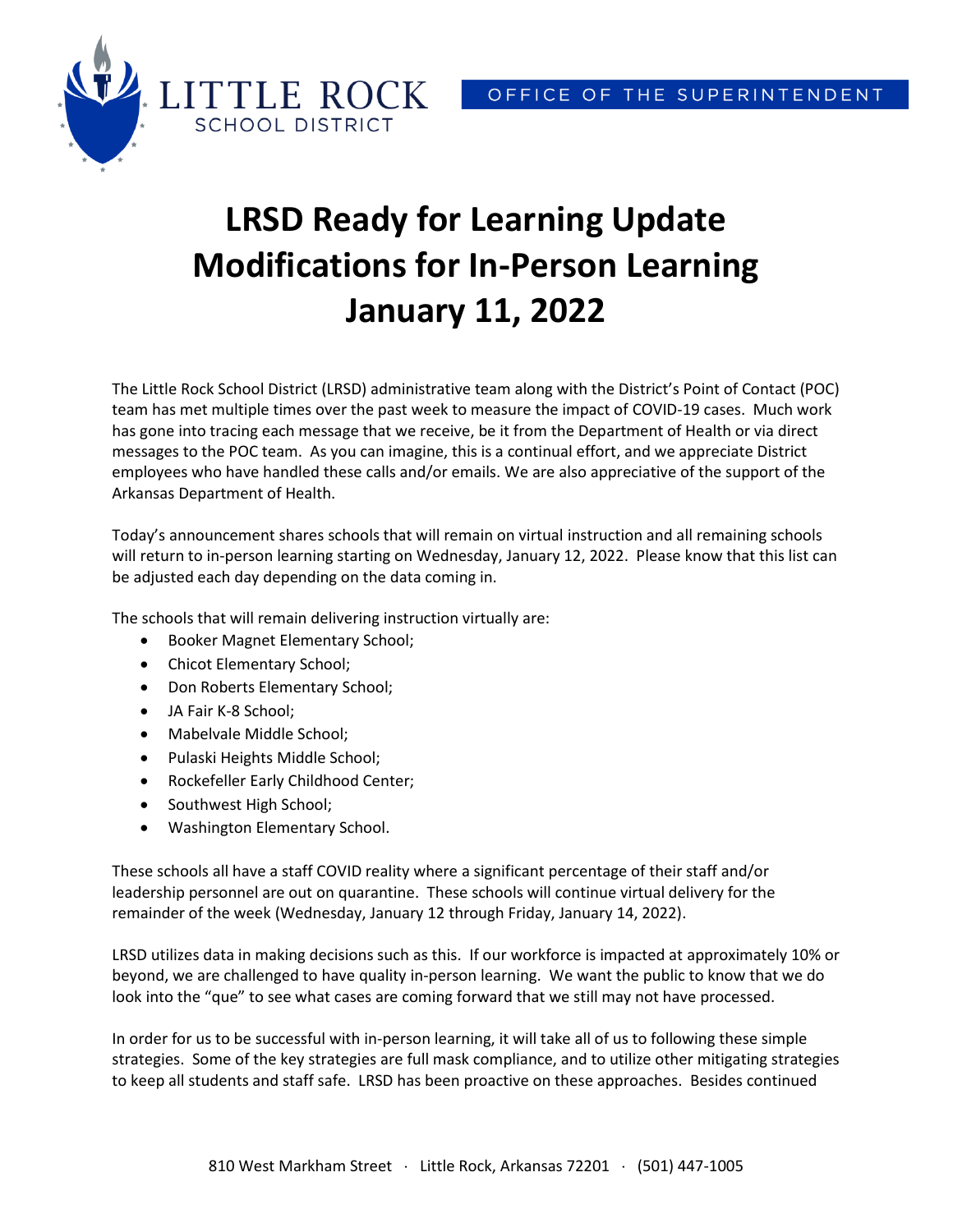

## **LRSD Ready for Learning Update Modifications for In-Person Learning January 11, 2022**

The Little Rock School District (LRSD) administrative team along with the District's Point of Contact (POC) team has met multiple times over the past week to measure the impact of COVID-19 cases. Much work has gone into tracing each message that we receive, be it from the Department of Health or via direct messages to the POC team. As you can imagine, this is a continual effort, and we appreciate District employees who have handled these calls and/or emails. We are also appreciative of the support of the Arkansas Department of Health.

Today's announcement shares schools that will remain on virtual instruction and all remaining schools will return to in-person learning starting on Wednesday, January 12, 2022. Please know that this list can be adjusted each day depending on the data coming in.

The schools that will remain delivering instruction virtually are:

- **•** Booker Magnet Elementary School;
- Chicot Elementary School;
- Don Roberts Elementary School;
- JA Fair K-8 School;
- Mabelvale Middle School;
- Pulaski Heights Middle School;
- Rockefeller Early Childhood Center;
- Southwest High School;
- Washington Elementary School.

These schools all have a staff COVID reality where a significant percentage of their staff and/or leadership personnel are out on quarantine. These schools will continue virtual delivery for the remainder of the week (Wednesday, January 12 through Friday, January 14, 2022).

LRSD utilizes data in making decisions such as this. If our workforce is impacted at approximately 10% or beyond, we are challenged to have quality in-person learning. We want the public to know that we do look into the "que" to see what cases are coming forward that we still may not have processed.

In order for us to be successful with in-person learning, it will take all of us to following these simple strategies. Some of the key strategies are full mask compliance, and to utilize other mitigating strategies to keep all students and staff safe. LRSD has been proactive on these approaches. Besides continued